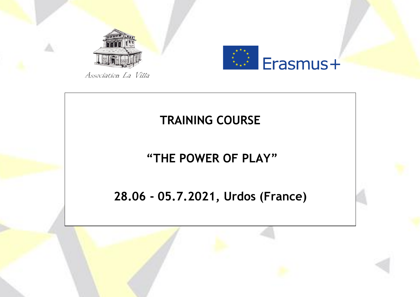



Association La Villa

### **TRAINING COURSE**

## **"THE POWER OF PLAY"**

### **28.06 - 05.7.2021, Urdos (France)**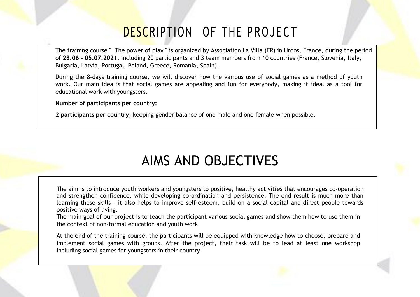## DESCRIPTION OF THE PROJECT

The training course " The power of play " is organized by Association La Villa (FR) in Urdos, France, during the period of **28.06 - 05.07.2021**, including 20 participants and 3 team members from 10 countries (France, Slovenia, Italy, Bulgaria, Latvia, Portugal, Poland, Greece, Romania, Spain).

During the 8-days training course, we will discover how the various use of social games as a method of youth work. Our main idea is that social games are appealing and fun for everybody, making it ideal as a tool for educational work with youngsters.

**Number of participants per country:** 

**2 participants per country**, keeping gender balance of one male and one female when possible.

## AIMS AND OBJECTIVES

The aim is to introduce youth workers and youngsters to positive, healthy activities that encourages co-operation and strengthen confidence, while developing co-ordination and persistence. The end result is much more than learning these skills – it also helps to improve self-esteem, build on a social capital and direct people towards positive ways of living.

The main goal of our project is to teach the participant various social games and show them how to use them in the context of non-formal education and youth work.

At the end of the training course, the participants will be equipped with knowledge how to choose, prepare and implement social games with groups. After the project, their task will be to lead at least one workshop including social games for youngsters in their country.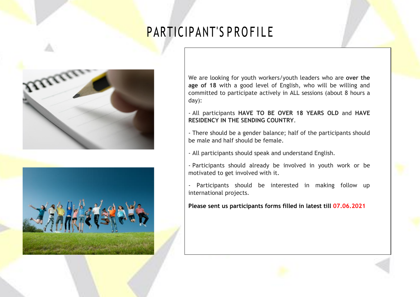# PARTICIPANT'S PROFILE





We are looking for youth workers/youth leaders who are **over the age of 18** with a good level of English, who will be willing and committed to participate actively in ALL sessions (about 8 hours a day):

- All participants **HAVE TO BE OVER 18 YEARS OLD** and **HAVE RESIDENCY IN THE SENDING COUNTRY**.

- There should be a gender balance; half of the participants should be male and half should be female.

- All participants should speak and understand English.

- Participants should already be involved in youth work or be motivated to get involved with it.

- Participants should be interested in making follow up international projects.

**Please sent us participants forms filled in latest till 07.06.2021**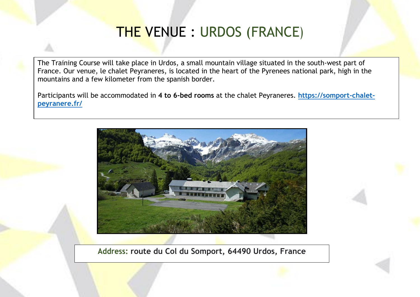## THE VENUE : URDOS (FRANCE)

The Training Course will take place in Urdos, a small mountain village situated in the south-west part of France. Our venue, le chalet Peyraneres, is located in the heart of the Pyrenees national park, high in the mountains and a few kilometer from the spanish border.

Participants will be accommodated in **4 to 6-bed rooms** at the chalet Peyraneres. **[https://somport-chalet](https://somport-chalet-peyranere.fr/)[peyranere.fr/](https://somport-chalet-peyranere.fr/)**



**Address: route du Col du Somport, 64490 Urdos, France**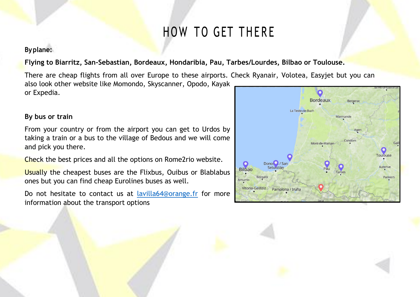# HOW TO GET THERE

### **Byplane:**

**Flying to Biarritz, San-Sebastian, Bordeaux, Hondaribia, Pau, Tarbes/Lourdes, Bilbao or Toulouse.** 

There are cheap flights from all over Europe to these airports. Check Ryanair, Volotea, Easyjet but you can also look other website like Momondo, Skyscanner, Opodo, Kayak or Expedia.

### **By bus or train**

From your country or from the airport you can get to Urdos by taking a train or a bus to the village of Bedous and we will come and pick you there.

Check the best prices and all the options on Rome2rio website.

Usually the cheapest buses are the Flixbus, Ouibus or Blablabus ones but you can find cheap Eurolines buses as well.

Do not hesitate to contact us at [lavilla64@orange.fr](mailto:lavilla64@orange.fr) for more information about the transport options

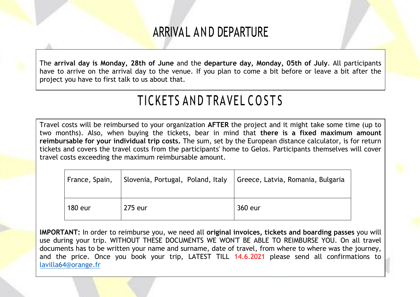### ARRIVAL AND DEPARTURE

The **arrival day is Monday, 28th of June** and the **departure day, Monday, 05th of July**. All participants have to arrive on the arrival day to the venue. If you plan to come a bit before or leave a bit after the project you have to first talk to us about that.

# TICKETS AND TRAVEL COSTS

Travel costs will be reimbursed to your organization **AFTER** the project and it might take some time (up to two months). Also, when buying the tickets, bear in mind that **there is a fixed maximum amount reimbursable for your individual trip costs.** The sum, set by the European distance calculator, is for return tickets and covers the travel costs from the participants' home to Gelos. Participants themselves will cover travel costs exceeding the maximum reimbursable amount.

| France, Spain, | Slovenia, Portugal, Poland, Italy | Greece, Latvia, Romania, Bulgaria |
|----------------|-----------------------------------|-----------------------------------|
| 180 eur        | 275 eur                           | 360 eur                           |

**IMPORTANT:** In order to reimburse you, we need all **original invoices, tickets and boarding passes** you will use during your trip. WITHOUT THESE DOCUMENTS WE WON'T BE ABLE TO REIMBURSE YOU. On all travel documents has to be written your name and surname, date of travel, from where to where was the journey, and the price. Once you book your trip, LATEST TILL 14.6.2021 please send all confirmations to [lavilla64@orange.fr](mailto:lavilla64@orange.fr)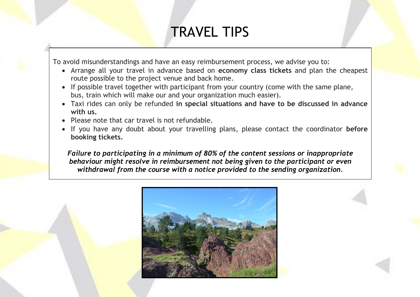## TRAVEL TIPS

To avoid misunderstandings and have an easy reimbursement process, we advise you to:

- Arrange all your travel in advance based on **economy class tickets** and plan the cheapest route possible to the project venue and back home.
- If possible travel together with participant from your country (come with the same plane, bus, train which will make our and your organization much easier).
- Taxi rides can only be refunded **in special situations and have to be discussed in advance with us.**
- Please note that car travel is not refundable.
- If you have any doubt about your travelling plans, please contact the coordinator **before booking tickets.**

*Failure to participating in a minimum of 80% of the content sessions or inappropriate behaviour might resolve in reimbursement not being given to the participant or even withdrawal from the course with a notice provided to the sending organization.*

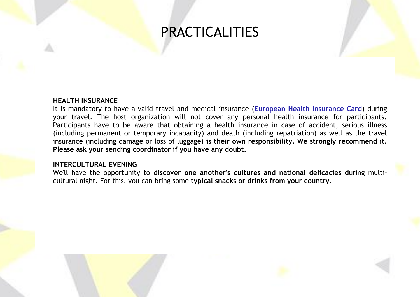## PRACTICALITIES

### **HEALTH INSURANCE**

It is mandatory to have a valid travel and medical insurance (**European Health Insurance Card**) during your travel. The host organization will not cover any personal health insurance for participants. Participants have to be aware that obtaining a health insurance in case of accident, serious illness (including permanent or temporary incapacity) and death (including repatriation) as well as the travel insurance (including damage or loss of luggage) **is their own responsibility. We strongly recommend it. Please ask your sending coordinator if you have any doubt.**

#### **INTERCULTURAL EVENING**

We'll have the opportunity to **discover one another's cultures and national delicacies d**uring multicultural night. For this, you can bring some **typical snacks or drinks from your country**.